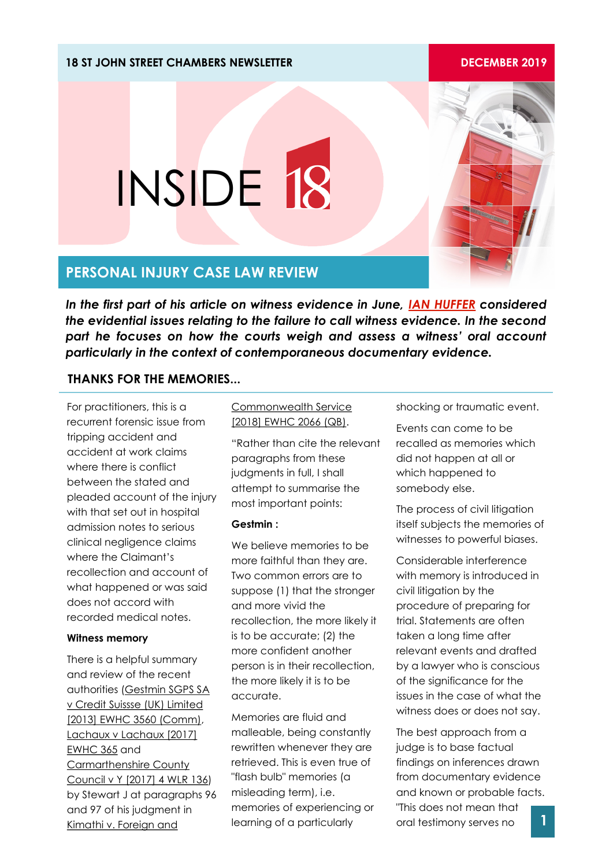### **18 ST JOHN STREET CHAMBERS NEWSLETTER DECEMBER 2019**

# **PERSONAL INJURY CASE LAW REVIEW**

INSIDE 18

*In the first part of his article on witness evidence in June, [IAN HUFFER](https://www.18sjs.com/people/ian-huffer/) considered the evidential issues relating to the failure to call witness evidence. In the second part he focuses on how the courts weigh and assess a witness' oral account particularly in the context of contemporaneous documentary evidence.* 

## **THANKS FOR THE MEMORIES...**

For practitioners, this is a recurrent forensic issue from tripping accident and accident at work claims where there is conflict between the stated and pleaded account of the injury with that set out in hospital admission notes to serious clinical negligence claims where the Claimant's recollection and account of what happened or was said does not accord with recorded medical notes.

#### **Witness memory**

There is a helpful summary and review of the recent authorities (Gestmin SGPS SA v Credit Suissse (UK) Limited [2013] EWHC 3560 (Comm), Lachaux v Lachaux [2017] EWHC 365 and Carmarthenshire County Council v Y [2017] 4 WLR 136) by Stewart J at paragraphs 96 and 97 of his judgment in Kimathi v. Foreign and

### Commonwealth Service [2018] EWHC 2066 (QB).

"Rather than cite the relevant paragraphs from these judgments in full, I shall attempt to summarise the most important points:

### **Gestmin :**

We believe memories to be more faithful than they are. Two common errors are to suppose (1) that the stronger and more vivid the recollection, the more likely it is to be accurate; (2) the more confident another person is in their recollection, the more likely it is to be accurate.

Memories are fluid and malleable, being constantly rewritten whenever they are retrieved. This is even true of "flash bulb" memories (a misleading term), i.e. memories of experiencing or learning of a particularly

shocking or traumatic event.

Events can come to be recalled as memories which did not happen at all or which happened to somebody else.

The process of civil litigation itself subjects the memories of witnesses to powerful biases.

Considerable interference with memory is introduced in civil litigation by the procedure of preparing for trial. Statements are often taken a long time after relevant events and drafted by a lawyer who is conscious of the significance for the issues in the case of what the witness does or does not say.

The best approach from a judge is to base factual findings on inferences drawn from documentary evidence and known or probable facts. "This does not mean that oral testimony serves no **1**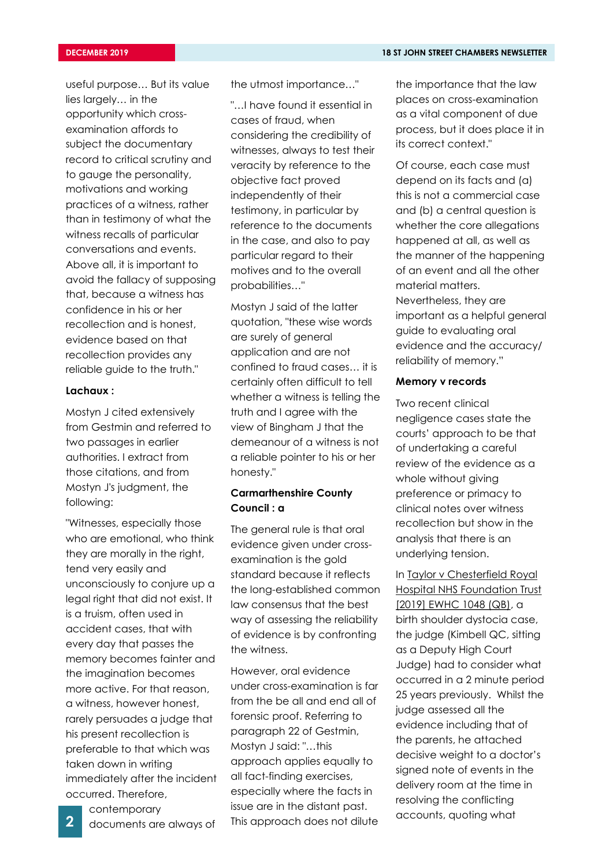useful purpose… But its value lies largely… in the opportunity which crossexamination affords to subject the documentary record to critical scrutiny and to gauge the personality, motivations and working practices of a witness, rather than in testimony of what the witness recalls of particular conversations and events. Above all, it is important to avoid the fallacy of supposing that, because a witness has confidence in his or her recollection and is honest, evidence based on that recollection provides any reliable guide to the truth."

#### **Lachaux :**

Mostyn J cited extensively from Gestmin and referred to two passages in earlier authorities. I extract from those citations, and from Mostyn J's judgment, the following:

"Witnesses, especially those who are emotional, who think they are morally in the right, tend very easily and unconsciously to conjure up a legal right that did not exist. It is a truism, often used in accident cases, that with every day that passes the memory becomes fainter and the imagination becomes more active. For that reason, a witness, however honest, rarely persuades a judge that his present recollection is preferable to that which was taken down in writing immediately after the incident occurred. Therefore,

the utmost importance…"

"…I have found it essential in cases of fraud, when considering the credibility of witnesses, always to test their veracity by reference to the objective fact proved independently of their testimony, in particular by reference to the documents in the case, and also to pay particular regard to their motives and to the overall probabilities…"

Mostyn J said of the latter quotation, "these wise words are surely of general application and are not confined to fraud cases… it is certainly often difficult to tell whether a witness is telling the truth and I agree with the view of Bingham J that the demeanour of a witness is not a reliable pointer to his or her honesty."

### **Carmarthenshire County Council : a**

The general rule is that oral evidence given under crossexamination is the gold standard because it reflects the long-established common law consensus that the best way of assessing the reliability of evidence is by confronting the witness.

However, oral evidence under cross-examination is far from the be all and end all of forensic proof. Referring to paragraph 22 of Gestmin, Mostyn J said: "…this approach applies equally to all fact-finding exercises, especially where the facts in issue are in the distant past. 2 documents are always of This approach does not dilute accounts, quoting what

the importance that the law places on cross-examination as a vital component of due process, but it does place it in its correct context."

Of course, each case must depend on its facts and (a) this is not a commercial case and (b) a central question is whether the core allegations happened at all, as well as the manner of the happening of an event and all the other material matters. Nevertheless, they are important as a helpful general guide to evaluating oral evidence and the accuracy/ reliability of memory."

### **Memory v records**

Two recent clinical negligence cases state the courts' approach to be that of undertaking a careful review of the evidence as a whole without giving preference or primacy to clinical notes over witness recollection but show in the analysis that there is an underlying tension.

In Taylor v Chesterfield Royal Hospital NHS Foundation Trust [2019] EWHC 1048 (QB), a birth shoulder dystocia case, the judge (Kimbell QC, sitting as a Deputy High Court Judge) had to consider what occurred in a 2 minute period 25 years previously. Whilst the judge assessed all the evidence including that of the parents, he attached decisive weight to a doctor's signed note of events in the delivery room at the time in resolving the conflicting

documents are always of

contemporary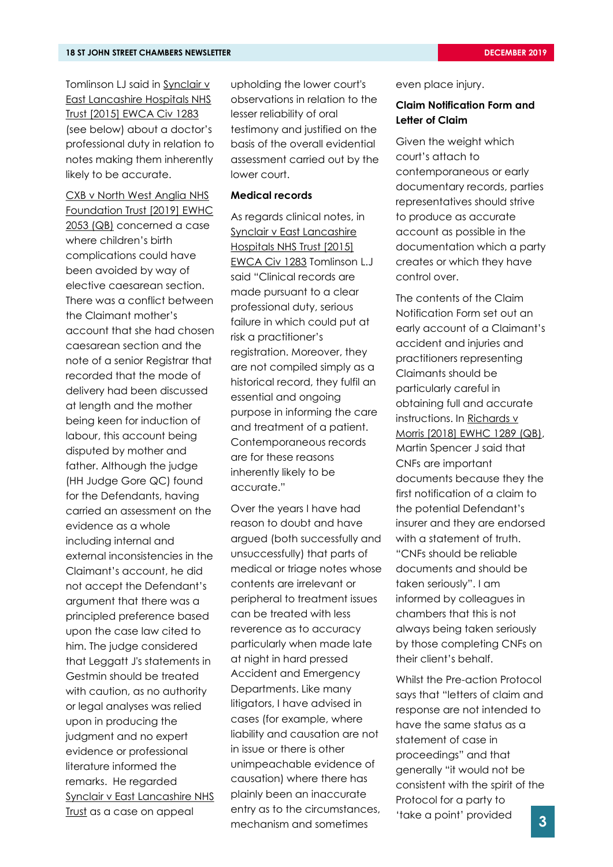Tomlinson LJ said in Synclair v East Lancashire Hospitals NHS Trust [2015] EWCA Civ 1283 (see below) about a doctor's professional duty in relation to notes making them inherently likely to be accurate.

CXB v North West Anglia NHS Foundation Trust [2019] EWHC 2053 (QB) concerned a case where children's birth complications could have been avoided by way of elective caesarean section. There was a conflict between the Claimant mother's account that she had chosen caesarean section and the note of a senior Registrar that recorded that the mode of delivery had been discussed at length and the mother being keen for induction of labour, this account being disputed by mother and father. Although the judge (HH Judge Gore QC) found for the Defendants, having carried an assessment on the evidence as a whole including internal and external inconsistencies in the Claimant's account, he did not accept the Defendant's argument that there was a principled preference based upon the case law cited to him. The judge considered that Leggatt J's statements in Gestmin should be treated with caution, as no authority or legal analyses was relied upon in producing the judgment and no expert evidence or professional literature informed the remarks. He regarded Synclair v East Lancashire NHS Trust as a case on appeal

upholding the lower court's observations in relation to the lesser reliability of oral testimony and justified on the basis of the overall evidential assessment carried out by the lower court.

#### **Medical records**

As regards clinical notes, in Synclair v East Lancashire Hospitals NHS Trust [2015] EWCA Civ 1283 Tomlinson L.J said "Clinical records are made pursuant to a clear professional duty, serious failure in which could put at risk a practitioner's registration. Moreover, they are not compiled simply as a historical record, they fulfil an essential and ongoing purpose in informing the care and treatment of a patient. Contemporaneous records are for these reasons inherently likely to be accurate."

Over the years I have had reason to doubt and have argued (both successfully and unsuccessfully) that parts of medical or triage notes whose contents are irrelevant or peripheral to treatment issues can be treated with less reverence as to accuracy particularly when made late at night in hard pressed Accident and Emergency Departments. Like many litigators, I have advised in cases (for example, where liability and causation are not in issue or there is other unimpeachable evidence of causation) where there has plainly been an inaccurate entry as to the circumstances, mechanism and sometimes

even place injury.

### **Claim Notification Form and Letter of Claim**

Given the weight which court's attach to contemporaneous or early documentary records, parties representatives should strive to produce as accurate account as possible in the documentation which a party creates or which they have control over.

The contents of the Claim Notification Form set out an early account of a Claimant's accident and injuries and practitioners representing Claimants should be particularly careful in obtaining full and accurate instructions. In Richards v Morris [2018] EWHC 1289 (QB), Martin Spencer J said that CNFs are important documents because they the first notification of a claim to the potential Defendant's insurer and they are endorsed with a statement of truth. "CNFs should be reliable documents and should be taken seriously". I am informed by colleagues in chambers that this is not always being taken seriously by those completing CNFs on their client's behalf.

Whilst the Pre-action Protocol says that "letters of claim and response are not intended to have the same status as a statement of case in proceedings" and that generally "it would not be consistent with the spirit of the Protocol for a party to 'take a point' provided **3**